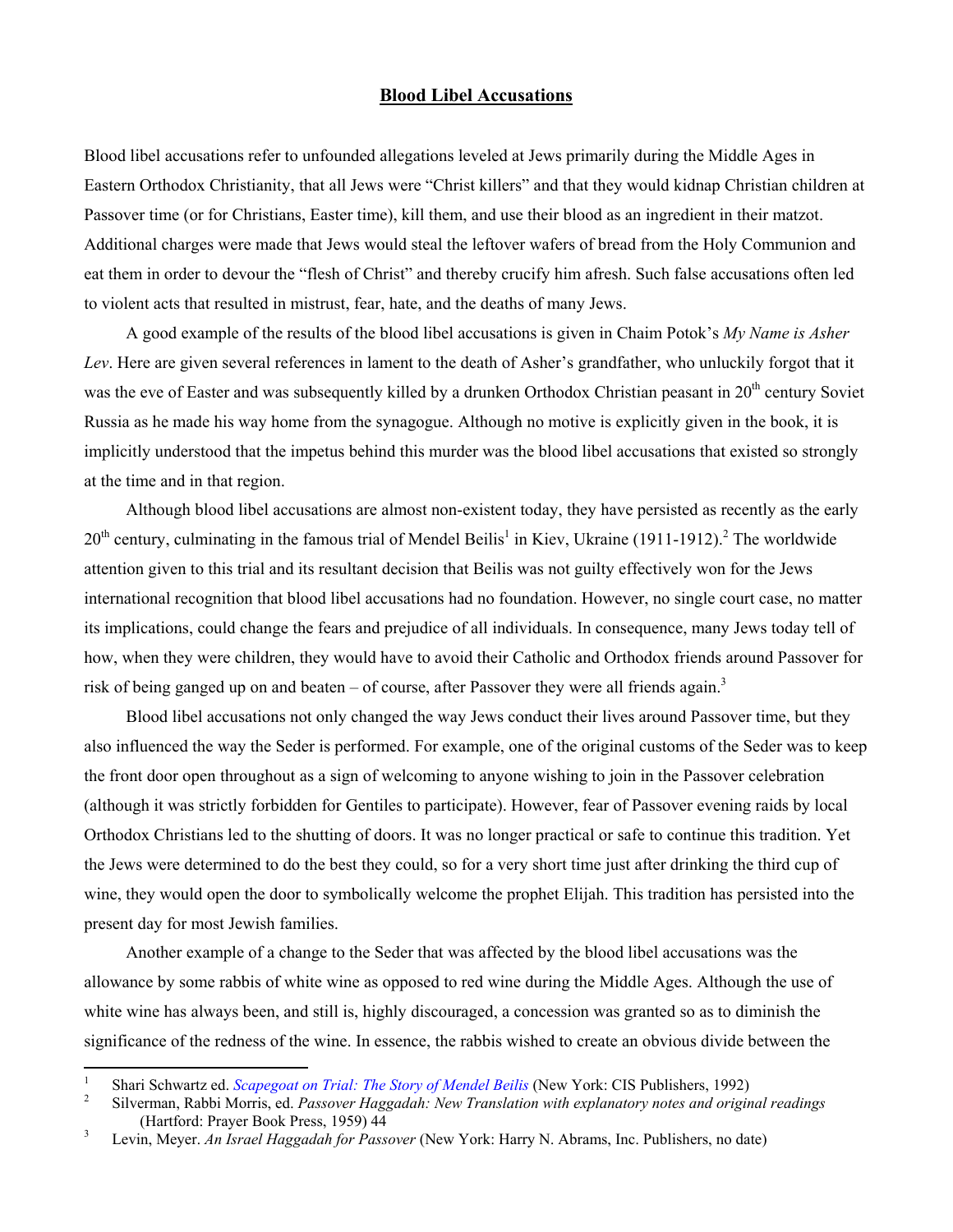## **Blood Libel Accusations**

Blood libel accusations refer to unfounded allegations leveled at Jews primarily during the Middle Ages in Eastern Orthodox Christianity, that all Jews were "Christ killers" and that they would kidnap Christian children at Passover time (or for Christians, Easter time), kill them, and use their blood as an ingredient in their matzot. Additional charges were made that Jews would steal the leftover wafers of bread from the Holy Communion and eat them in order to devour the "flesh of Christ" and thereby crucify him afresh. Such false accusations often led to violent acts that resulted in mistrust, fear, hate, and the deaths of many Jews.

A good example of the results of the blood libel accusations is given in Chaim Potok's *My Name is Asher Lev*. Here are given several references in lament to the death of Asher's grandfather, who unluckily forgot that it was the eve of Easter and was subsequently killed by a drunken Orthodox Christian peasant in  $20<sup>th</sup>$  century Soviet Russia as he made his way home from the synagogue. Although no motive is explicitly given in the book, it is implicitly understood that the impetus behind this murder was the blood libel accusations that existed so strongly at the time and in that region.

Although blood libel accusations are almost non-existent today, they have persisted as recently as the early  $20<sup>th</sup>$ century, culminating in the famous trial of Mendel Beilis<sup>1</sup> in Kiev, Ukraine (1911-1912).<sup>2</sup> The worldwide attention given to this trial and its resultant decision that Beilis was not guilty effectively won for the Jews international recognition that blood libel accusations had no foundation. However, no single court case, no matter its implications, could change the fears and prejudice of all individuals. In consequence, many Jews today tell of how, when they were children, they would have to avoid their Catholic and Orthodox friends around Passover for risk of being ganged up on and beaten – of course, after Passover they were all friends again.<sup>[3](#page-0-2)</sup>

Blood libel accusations not only changed the way Jews conduct their lives around Passover time, but they also influenced the way the Seder is performed. For example, one of the original customs of the Seder was to keep the front door open throughout as a sign of welcoming to anyone wishing to join in the Passover celebration (although it was strictly forbidden for Gentiles to participate). However, fear of Passover evening raids by local Orthodox Christians led to the shutting of doors. It was no longer practical or safe to continue this tradition. Yet the Jews were determined to do the best they could, so for a very short time just after drinking the third cup of wine, they would open the door to symbolically welcome the prophet Elijah. This tradition has persisted into the present day for most Jewish families.

Another example of a change to the Seder that was affected by the blood libel accusations was the allowance by some rabbis of white wine as opposed to red wine during the Middle Ages. Although the use of white wine has always been, and still is, highly discouraged, a concession was granted so as to diminish the significance of the redness of the wine. In essence, the rabbis wished to create an obvious divide between the

 $\overline{a}$ 

<span id="page-0-0"></span><sup>1</sup> <sup>1</sup>Shari Schwartz ed. *Scapegoat on Trial: The Story of Mendel Beilis* (New York: CIS Publishers, 1992)

<span id="page-0-1"></span>Silverman, Rabbi Morris, ed. *Passover Haggadah: New Translation with explanatory notes and original readings* (Hartford: Prayer Book Press, 1959) 44

<span id="page-0-2"></span>Levin, Meyer. *An Israel Haggadah for Passover* (New York: Harry N. Abrams, Inc. Publishers, no date)